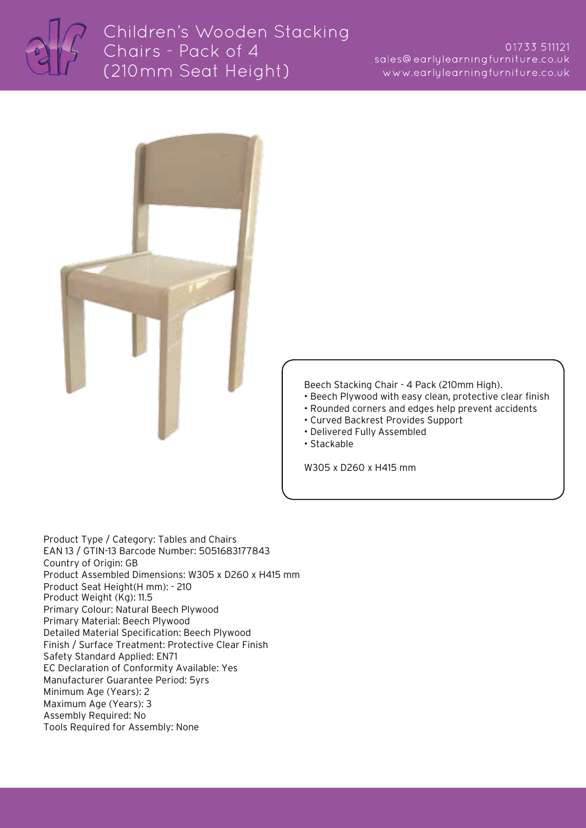

## Children's Wooden Stacking Chairs - Pack of 4 (210mm Seat Height)

## 01733 511121 sales@earlylearningfurniture.co.uk www.earlylearningfurniture.co.uk



Beech Stacking Chair - 4 Pack (210mm High).

- Beech Plywood with easy clean, protective clear finish
- Rounded corners and edges help prevent accidents
- Curved Backrest Provides Support
- Delivered Fully Assembled
- Stackable

W305 x D260 x H415 mm

Product Type / Category: Tables and Chairs EAN 13 / GTIN-13 Barcode Number: 5051683177843 Country of Origin: GB Product Assembled Dimensions: W305 x D260 x H415 mm Product Seat Height(H mm): - 210 Product Weight (Kg): 11.5 Primary Colour: Natural Beech Plywood Primary Material: Beech Plywood Detailed Material Specification: Beech Plywood Finish / Surface Treatment: Protective Clear Finish Safety Standard Applied: EN71 EC Declaration of Conformity Available: Yes Manufacturer Guarantee Period: 5yrs Minimum Age (Years): 2 Maximum Age (Years): 3 Assembly Required: No Tools Required for Assembly: None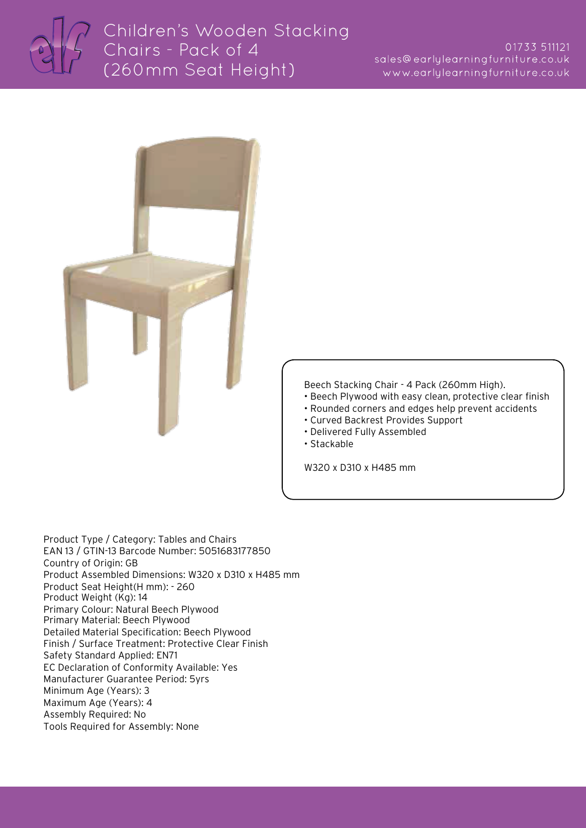



Beech Stacking Chair - 4 Pack (260mm High).

- Beech Plywood with easy clean, protective clear finish
- Rounded corners and edges help prevent accidents
- Curved Backrest Provides Support
- Delivered Fully Assembled
- Stackable

W320 x D310 x H485 mm

Product Type / Category: Tables and Chairs EAN 13 / GTIN-13 Barcode Number: 5051683177850 Country of Origin: GB Product Assembled Dimensions: W320 x D310 x H485 mm Product Seat Height(H mm): - 260 Product Weight (Kg): 14 Primary Colour: Natural Beech Plywood Primary Material: Beech Plywood Detailed Material Specification: Beech Plywood Finish / Surface Treatment: Protective Clear Finish Safety Standard Applied: EN71 EC Declaration of Conformity Available: Yes Manufacturer Guarantee Period: 5yrs Minimum Age (Years): 3 Maximum Age (Years): 4 Assembly Required: No Tools Required for Assembly: None